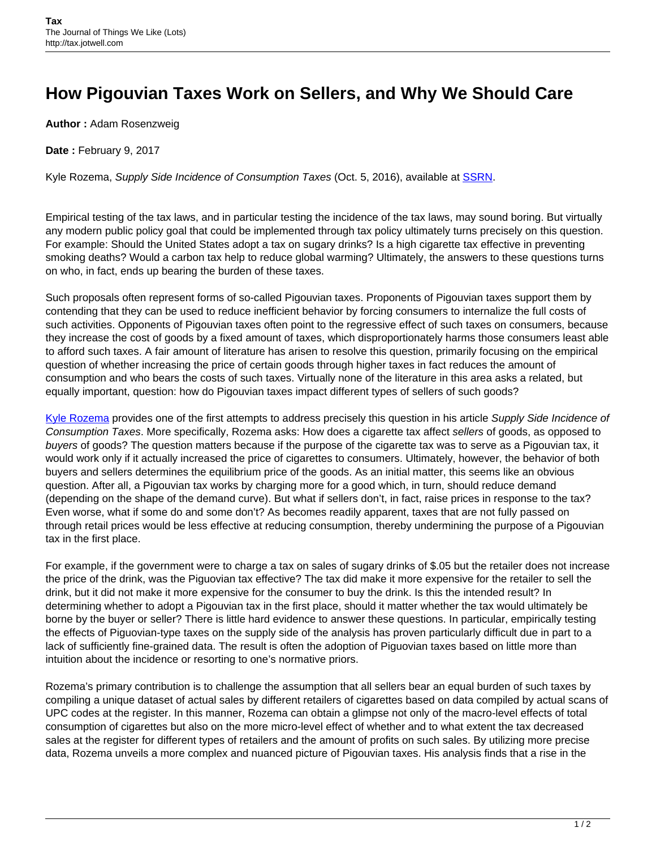## **How Pigouvian Taxes Work on Sellers, and Why We Should Care**

**Author :** Adam Rosenzweig

**Date :** February 9, 2017

Kyle Rozema, Supply Side Incidence of Consumption Taxes (Oct. 5, 2016), available at **SSRN**.

Empirical testing of the tax laws, and in particular testing the incidence of the tax laws, may sound boring. But virtually any modern public policy goal that could be implemented through tax policy ultimately turns precisely on this question. For example: Should the United States adopt a tax on sugary drinks? Is a high cigarette tax effective in preventing smoking deaths? Would a carbon tax help to reduce global warming? Ultimately, the answers to these questions turns on who, in fact, ends up bearing the burden of these taxes.

Such proposals often represent forms of so-called Pigouvian taxes. Proponents of Pigouvian taxes support them by contending that they can be used to reduce inefficient behavior by forcing consumers to internalize the full costs of such activities. Opponents of Pigouvian taxes often point to the regressive effect of such taxes on consumers, because they increase the cost of goods by a fixed amount of taxes, which disproportionately harms those consumers least able to afford such taxes. A fair amount of literature has arisen to resolve this question, primarily focusing on the empirical question of whether increasing the price of certain goods through higher taxes in fact reduces the amount of consumption and who bears the costs of such taxes. Virtually none of the literature in this area asks a related, but equally important, question: how do Pigouvian taxes impact different types of sellers of such goods?

[Kyle Rozema](http://kylerozema.com/) provides one of the first attempts to address precisely this question in his article Supply Side Incidence of Consumption Taxes. More specifically, Rozema asks: How does a cigarette tax affect sellers of goods, as opposed to buyers of goods? The question matters because if the purpose of the cigarette tax was to serve as a Pigouvian tax, it would work only if it actually increased the price of cigarettes to consumers. Ultimately, however, the behavior of both buyers and sellers determines the equilibrium price of the goods. As an initial matter, this seems like an obvious question. After all, a Pigouvian tax works by charging more for a good which, in turn, should reduce demand (depending on the shape of the demand curve). But what if sellers don't, in fact, raise prices in response to the tax? Even worse, what if some do and some don't? As becomes readily apparent, taxes that are not fully passed on through retail prices would be less effective at reducing consumption, thereby undermining the purpose of a Pigouvian tax in the first place.

For example, if the government were to charge a tax on sales of sugary drinks of \$.05 but the retailer does not increase the price of the drink, was the Piguovian tax effective? The tax did make it more expensive for the retailer to sell the drink, but it did not make it more expensive for the consumer to buy the drink. Is this the intended result? In determining whether to adopt a Pigouvian tax in the first place, should it matter whether the tax would ultimately be borne by the buyer or seller? There is little hard evidence to answer these questions. In particular, empirically testing the effects of Piguovian-type taxes on the supply side of the analysis has proven particularly difficult due in part to a lack of sufficiently fine-grained data. The result is often the adoption of Piguovian taxes based on little more than intuition about the incidence or resorting to one's normative priors.

Rozema's primary contribution is to challenge the assumption that all sellers bear an equal burden of such taxes by compiling a unique dataset of actual sales by different retailers of cigarettes based on data compiled by actual scans of UPC codes at the register. In this manner, Rozema can obtain a glimpse not only of the macro-level effects of total consumption of cigarettes but also on the more micro-level effect of whether and to what extent the tax decreased sales at the register for different types of retailers and the amount of profits on such sales. By utilizing more precise data, Rozema unveils a more complex and nuanced picture of Pigouvian taxes. His analysis finds that a rise in the